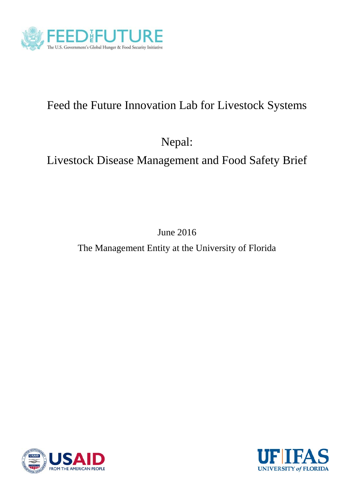

# Feed the Future Innovation Lab for Livestock Systems

Nepal:

# Livestock Disease Management and Food Safety Brief

June 2016

The Management Entity at the University of Florida



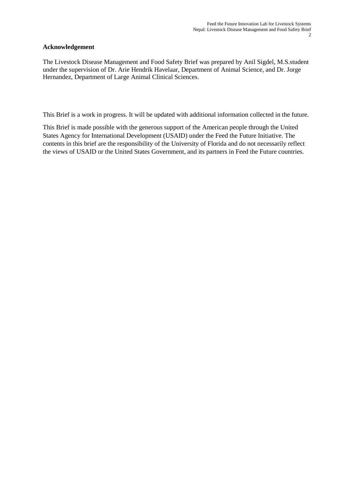## **Acknowledgement**

The Livestock Disease Management and Food Safety Brief was prepared by Anil Sigdel, M.S.student under the supervision of Dr. Arie Hendrik Havelaar, Department of Animal Science, and Dr. Jorge Hernandez, Department of Large Animal Clinical Sciences.

This Brief is a work in progress. It will be updated with additional information collected in the future.

This Brief is made possible with the generous support of the American people through the United States Agency for International Development (USAID) under the Feed the Future Initiative. The contents in this brief are the responsibility of the University of Florida and do not necessarily reflect the views of USAID or the United States Government, and its partners in Feed the Future countries.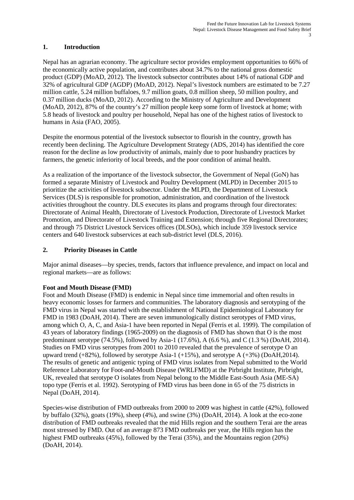# **1. Introduction**

Nepal has an agrarian economy. The agriculture sector provides employment opportunities to 66% of the economically active population, and contributes about 34.7% to the national gross domestic product (GDP) (MoAD, 2012). The livestock subsector contributes about 14% of national GDP and 32% of agricultural GDP (AGDP) (MoAD, 2012). Nepal's livestock numbers are estimated to be 7.27 million cattle, 5.24 million buffaloes, 9.7 million goats, 0.8 million sheep, 50 million poultry, and 0.37 million ducks (MoAD, 2012). According to the Ministry of Agriculture and Development (MoAD, 2012), 87% of the country's 27 million people keep some form of livestock at home; with 5.8 heads of livestock and poultry per household, Nepal has one of the highest ratios of livestock to humans in Asia (FAO, 2005).

Despite the enormous potential of the livestock subsector to flourish in the country, growth has recently been declining. The Agriculture Development Strategy (ADS, 2014) has identified the core reason for the decline as low productivity of animals, mainly due to poor husbandry practices by farmers, the genetic inferiority of local breeds, and the poor condition of animal health.

As a realization of the importance of the livestock subsector, the Government of Nepal (GoN) has formed a separate Ministry of Livestock and Poultry Development (MLPD) in December 2015 to prioritize the activities of livestock subsector. Under the MLPD, the Department of Livestock Services (DLS) is responsible for promotion, administration, and coordination of the livestock activities throughout the country. DLS executes its plans and programs through four directorates: Directorate of Animal Health, Directorate of Livestock Production, Directorate of Livestock Market Promotion, and Directorate of Livestock Training and Extension; through five Regional Directorates; and through 75 District Livestock Services offices (DLSOs), which include 359 livestock service centers and 640 livestock subservices at each sub-district level (DLS, 2016).

# **2. Priority Diseases in Cattle**

Major animal diseases—by species, trends, factors that influence prevalence, and impact on local and regional markets—are as follows:

## **Foot and Mouth Disease (FMD)**

Foot and Mouth Disease (FMD) is endemic in Nepal since time immemorial and often results in heavy economic losses for farmers and communities. The laboratory diagnosis and serotyping of the FMD virus in Nepal was started with the establishment of National Epidemiological Laboratory for FMD in 1983 (DoAH, 2014). There are seven immunologically distinct serotypes of FMD virus, among which O, A, C, and Asia-1 have been reported in Nepal (Ferris et al. 1999). The compilation of 43 years of laboratory findings (1965-2009) on the diagnosis of FMD has shown that O is the most predominant serotype (74.5%), followed by Asia-1 (17.6%), A (6.6 %), and C (1.3 %) (DoAH, 2014). Studies on FMD virus serotypes from 2001 to 2010 revealed that the prevalence of serotype O an upward trend  $(+82\%)$ , followed by serotype Asia-1  $(+15\%)$ , and serotype A  $(+3\%)$  (DoAH,2014). The results of genetic and antigenic typing of FMD virus isolates from Nepal submitted to the World Reference Laboratory for Foot-and-Mouth Disease (WRLFMD) at the Pirbright Institute, Pirbright, UK, revealed that serotype O isolates from Nepal belong to the Middle East-South Asia (ME-SA) topo type (Ferris et al. 1992). Serotyping of FMD virus has been done in 65 of the 75 districts in Nepal (DoAH, 2014).

Species-wise distribution of FMD outbreaks from 2000 to 2009 was highest in cattle (42%), followed by buffalo (32%), goats (19%), sheep (4%), and swine (3%) (DoAH, 2014). A look at the eco-zone distribution of FMD outbreaks revealed that the mid Hills region and the southern Terai are the areas most stressed by FMD. Out of an average 873 FMD outbreaks per year, the Hills region has the highest FMD outbreaks (45%), followed by the Terai (35%), and the Mountains region (20%) (DoAH, 2014).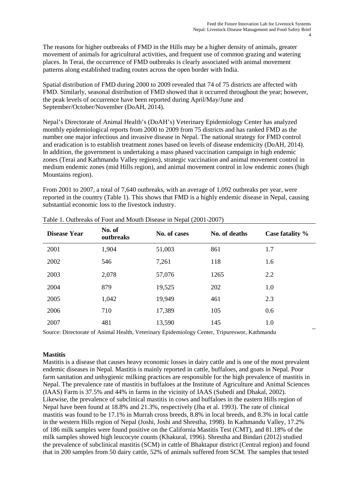The reasons for higher outbreaks of FMD in the Hills may be a higher density of animals, greater movement of animals for agricultural activities, and frequent use of common grazing and watering places. In Terai, the occurrence of FMD outbreaks is clearly associated with animal movement patterns along established trading routes across the open border with India.

Spatial distribution of FMD during 2000 to 2009 revealed that 74 of 75 districts are affected with FMD. Similarly, seasonal distribution of FMD showed that it occurred throughout the year; however, the peak levels of occurrence have been reported during April/May/June and September/October/November (DoAH, 2014).

Nepal's Directorate of Animal Health's (DoAH's) Veterinary Epidemiology Center has analyzed monthly epidemiological reports from 2000 to 2009 from 75 districts and has ranked FMD as the number one major infectious and invasive disease in Nepal. The national strategy for FMD control and eradication is to establish treatment zones based on levels of disease endemicity (DoAH, 2014). In addition, the government is undertaking a mass phased vaccination campaign in high endemic zones (Terai and Kathmandu Valley regions), strategic vaccination and animal movement control in medium endemic zones (mid Hills region), and animal movement control in low endemic zones (high Mountains region).

From 2001 to 2007, a total of 7,640 outbreaks, with an average of 1,092 outbreaks per year, were reported in the country (Table 1). This shows that FMD is a highly endemic disease in Nepal, causing substantial economic loss to the livestock industry.

| <b>Disease Year</b> | No. of<br>outbreaks | No. of cases | No. of deaths | Case fatality % |
|---------------------|---------------------|--------------|---------------|-----------------|
| 2001                | 1,904               | 51,003       | 861           | 1.7             |
| 2002                | 546                 | 7,261        | 118           | 1.6             |
| 2003                | 2,078               | 57,076       | 1265          | 2.2             |
| 2004                | 879                 | 19,525       | 202           | 1.0             |
| 2005                | 1,042               | 19,949       | 461           | 2.3             |
| 2006                | 710                 | 17,389       | 105           | 0.6             |
| 2007                | 481                 | 13,590       | 145           | 1.0             |

| Table 1. Outbreaks of Foot and Mouth Disease in Nepal (2001-2007) |
|-------------------------------------------------------------------|
|-------------------------------------------------------------------|

Source: Directorate of Animal Health, Veterinary Epidemiology Center, Tripureswor, Kathmandu

## **Mastitis**

Mastitis is a disease that causes heavy economic losses in dairy cattle and is one of the most prevalent endemic diseases in Nepal. Mastitis is mainly reported in cattle, buffaloes, and goats in Nepal. Poor farm sanitation and unhygienic milking practices are responsible for the high prevalence of mastitis in Nepal. The prevalence rate of mastitis in buffaloes at the Institute of Agriculture and Animal Sciences (IAAS) Farm is 37.5% and 44% in farms in the vicinity of IAAS (Subedi and Dhakal, 2002). Likewise, the prevalence of subclinical mastitis in cows and buffaloes in the eastern Hills region of Nepal have been found at 18.8% and 21.3%, respectively (Jha et al. 1993). The rate of clinical mastitis was found to be 17.1% in Murrah cross breeds, 8.8% in local breeds, and 8.3% in local cattle in the western Hills region of Nepal (Joshi, Joshi and Shrestha, 1998). In Kathmandu Valley, 17.2% of 186 milk samples were found positive on the California Mastitis Test (CMT), and 81.18% of the milk samples showed high leucocyte counts (Khakural, 1996). Shrestha and Bindari (2012) studied the prevalence of subclinical mastitis (SCM) in cattle of Bhaktapur district (Central region) and found that in 200 samples from 50 dairy cattle, 52% of animals suffered from SCM. The samples that tested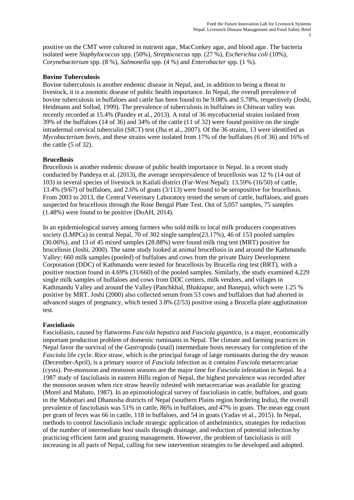positive on the CMT were cultured in nutrient agar, MacConkey agar, and blood agar. The bacteria isolated were *Staphylococcus* spp. (50%), *Streptococcus* spp. (27 %), *Escherichia coli* (10%), *Corynebacterium* spp. (8 %), *Salmonella* spp. (4 %) and *Enterobacter* spp. (1 %).

#### **Bovine Tuberculosis**

Bovine tuberculosis is another endemic disease in Nepal, and, in addition to being a threat to livestock, it is a zoonotic disease of public health importance. In Nepal, the overall prevalence of bovine tuberculosis in buffaloes and cattle has been found to be 9.08% and 5.78%, respectively (Joshi, Heidmann and Sollod, 1999). The prevalence of tuberculosis in buffaloes in Chitwan valley was recently recorded at 15.4% (Pandey et al., 2013). A total of 36 mycobacterial strains isolated from 39% of the buffaloes (14 of 36) and 34% of the cattle (11 of 32) were found positive on the single intradermal cervical tuberculin (SICT) test (Jha et al., 2007). Of the 36 strains, 13 were identified as *Mycobacterium bovis*, and these strains were isolated from 17% of the buffaloes (6 of 36) and 16% of the cattle (5 of 32).

#### **Brucellosis**

Brucellosis is another endemic disease of public health importance in Nepal. In a recent study conducted by Pandeya et al. (2013), the average seroprevalence of brucellosis was 12 % (14 out of 103) in several species of livestock in Kailali district (Far-West Nepal): 13.59% (16/50) of cattle, 13.4% (9/67) of buffaloes, and 2.6% of goats (3/113) were found to be seropositive for brucellosis. From 2003 to 2013, the Central Veterinary Laboratory tested the serum of cattle, buffaloes, and goats suspected for brucellosis through the Rose Bengal Plate Test. Out of 5,057 samples, 75 samples (1.48%) were found to be positive (DoAH, 2014).

In an epidemiological survey among farmers who sold milk to local milk producers cooperatives society (LMPCs) in central Nepal, 70 of 302 single samples(23.17%), 46 of 153 pooled samples (30.06%), and 13 of 45 mixed samples (28.88%) were found milk ring test (MRT) positive for brucellosis (Joshi, 2000). The same study looked at animal brucellosis in and around the Kathmandu Valley: 660 milk samples (pooled) of buffaloes and cows from the private Dairy Development Corporation (DDC) of Kathmandu were tested for brucellosis by Brucella ring test (BRT), with a positive reaction found in 4.69% (31/660) of the pooled samples. Similarly, the study examined 4,229 single milk samples of buffaloes and cows from DDC centers, milk vendors, and villages in Kathmandu Valley and around the Valley (Panchkhal, Bhaktapur, and Banepa), which were 1.25 % positive by MRT. Joshi (2000) also collected serum from 53 cows and buffaloes that had aborted in advanced stages of pregnancy, which tested 3.8% (2/53) positive using a Brucella plate agglutination test.

#### **Fascioliasis**

Fascioliasis, caused by flatworms *Fasciola hepatica* and *Fasciola gigantica*, is a major, economically important production problem of domestic ruminants in Nepal. The climate and farming practices in Nepal favor the survival of the *Gastropoda* (snail) intermediate hosts necessary for completion of the *Fasciola* life cycle. Rice straw, which is the principal forage of large ruminants during the dry season (December-April), is a primary source of *Fasciola* infection as it contains *Fasciola* metacercariae (cysts). Pre-monsoon and monsoon seasons are the major time for *Fasciola* infestation in Nepal. In a 1987 study of fascioliasis in eastern Hills region of Nepal, the highest prevalence was recorded after the monsoon season when rice straw heavily infested with metacercariae was available for grazing (Morel and Mahato, 1987). In an epizootiological survey of fascioliasis in cattle, buffaloes, and goats in the Mahottari and Dhanusha districts of Nepal (southern Plains region bordering India), the overall prevalence of fascioliasis was 51% in cattle, 86% in buffaloes, and 47% in goats. The mean egg count per gram of feces was 66 in cattle, 118 in buffaloes, and 54 in goats (Yadav et al., 2015). In Nepal, methods to control fascioliasis include strategic application of anthelmintics, strategies for reduction of the number of intermediate host snails through drainage, and reduction of potential infection by practicing efficient farm and grazing management. However, the problem of fascioliasis is still increasing in all parts of Nepal, calling for new intervention strategies to be developed and adopted.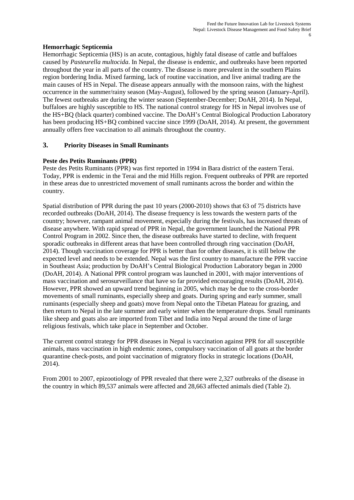## **Hemorrhagic Septicemia**

Hemorrhagic Septicemia (HS) is an acute, contagious, highly fatal disease of cattle and buffaloes caused by *Pasteurella multocida*. In Nepal, the disease is endemic, and outbreaks have been reported throughout the year in all parts of the country. The disease is more prevalent in the southern Plains region bordering India. Mixed farming, lack of routine vaccination, and live animal trading are the main causes of HS in Nepal. The disease appears annually with the monsoon rains, with the highest occurrence in the summer/rainy season (May-August), followed by the spring season (January-April). The fewest outbreaks are during the winter season (September-December; DoAH, 2014). In Nepal, buffaloes are highly susceptible to HS. The national control strategy for HS in Nepal involves use of the HS+BQ (black quarter) combined vaccine. The DoAH's Central Biological Production Laboratory has been producing HS+BQ combined vaccine since 1999 (DoAH, 2014). At present, the government annually offers free vaccination to all animals throughout the country.

# **3. Priority Diseases in Small Ruminants**

# **Peste des Petits Ruminants (PPR)**

Peste des Petits Ruminants (PPR) was first reported in 1994 in Bara district of the eastern Terai. Today, PPR is endemic in the Terai and the mid Hills region. Frequent outbreaks of PPR are reported in these areas due to unrestricted movement of small ruminants across the border and within the country.

Spatial distribution of PPR during the past 10 years (2000-2010) shows that 63 of 75 districts have recorded outbreaks (DoAH, 2014). The disease frequency is less towards the western parts of the country; however, rampant animal movement, especially during the festivals, has increased threats of disease anywhere. With rapid spread of PPR in Nepal, the government launched the National PPR Control Program in 2002. Since then, the disease outbreaks have started to decline, with frequent sporadic outbreaks in different areas that have been controlled through ring vaccination (DoAH, 2014). Though vaccination coverage for PPR is better than for other diseases, it is still below the expected level and needs to be extended. Nepal was the first country to manufacture the PPR vaccine in Southeast Asia; production by DoAH's Central Biological Production Laboratory began in 2000 (DoAH, 2014). A National PPR control program was launched in 2001, with major interventions of mass vaccination and serosurveillance that have so far provided encouraging results (DoAH, 2014). However, PPR showed an upward trend beginning in 2005, which may be due to the cross-border movements of small ruminants, especially sheep and goats. During spring and early summer, small ruminants (especially sheep and goats) move from Nepal onto the Tibetan Plateau for grazing, and then return to Nepal in the late summer and early winter when the temperature drops. Small ruminants like sheep and goats also are imported from Tibet and India into Nepal around the time of large religious festivals, which take place in September and October.

The current control strategy for PPR diseases in Nepal is vaccination against PPR for all susceptible animals, mass vaccination in high endemic zones, compulsory vaccination of all goats at the border quarantine check-posts, and point vaccination of migratory flocks in strategic locations (DoAH, 2014).

From 2001 to 2007, epizootiology of PPR revealed that there were 2,327 outbreaks of the disease in the country in which 89,537 animals were affected and 28,663 affected animals died (Table 2).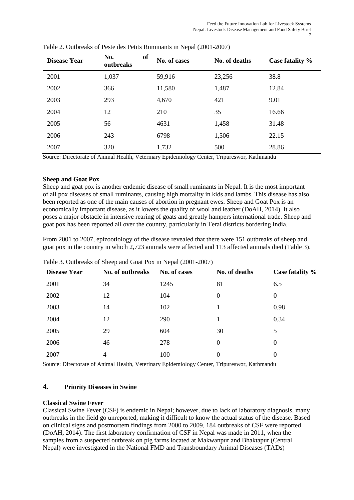| Disease Year | of<br>No.<br>outbreaks | No. of cases | No. of deaths | Case fatality % |
|--------------|------------------------|--------------|---------------|-----------------|
| 2001         | 1,037                  | 59,916       | 23,256        | 38.8            |
| 2002         | 366                    | 11,580       | 1,487         | 12.84           |
| 2003         | 293                    | 4,670        | 421           | 9.01            |
| 2004         | 12                     | 210          | 35            | 16.66           |
| 2005         | 56                     | 4631         | 1,458         | 31.48           |
| 2006         | 243                    | 6798         | 1,506         | 22.15           |
| 2007         | 320                    | 1,732        | 500           | 28.86           |

| Table 2. Outbreaks of Peste des Petits Ruminants in Nepal (2001-2007) |
|-----------------------------------------------------------------------|
|-----------------------------------------------------------------------|

Source: Directorate of Animal Health, Veterinary Epidemiology Center, Tripureswor, Kathmandu

#### **Sheep and Goat Pox**

Sheep and goat pox is another endemic disease of small ruminants in Nepal. It is the most important of all pox diseases of small ruminants, causing high mortality in kids and lambs. This disease has also been reported as one of the main causes of abortion in pregnant ewes. Sheep and Goat Pox is an economically important disease, as it lowers the quality of wool and leather (DoAH, 2014). It also poses a major obstacle in intensive rearing of goats and greatly hampers international trade. Sheep and goat pox has been reported all over the country, particularly in Terai districts bordering India.

From 2001 to 2007, epizootiology of the disease revealed that there were 151 outbreaks of sheep and goat pox in the country in which 2,723 animals were affected and 113 affected animals died (Table 3).

|                     |                  | $  \cdot$ $\cdot$ |                  |                 |
|---------------------|------------------|-------------------|------------------|-----------------|
| <b>Disease Year</b> | No. of outbreaks | No. of cases      | No. of deaths    | Case fatality % |
| 2001                | 34               | 1245              | 81               | 6.5             |
| 2002                | 12               | 104               | $\theta$         | $\theta$        |
| 2003                | 14               | 102               |                  | 0.98            |
| 2004                | 12               | 290               |                  | 0.34            |
| 2005                | 29               | 604               | 30               | 5               |
| 2006                | 46               | 278               | $\boldsymbol{0}$ | $\Omega$        |
| 2007                | 4                | 100               | $\boldsymbol{0}$ | $\theta$        |

Table 3. Outbreaks of Sheep and Goat Pox in Nepal (2001-2007)

Source: Directorate of Animal Health, Veterinary Epidemiology Center, Tripureswor, Kathmandu

## **4. Priority Diseases in Swine**

## **Classical Swine Fever**

Classical Swine Fever (CSF) is endemic in Nepal; however, due to lack of laboratory diagnosis, many outbreaks in the field go unreported, making it difficult to know the actual status of the disease. Based on clinical signs and postmortem findings from 2000 to 2009, 184 outbreaks of CSF were reported (DoAH, 2014). The first laboratory confirmation of CSF in Nepal was made in 2011, when the samples from a suspected outbreak on pig farms located at Makwanpur and Bhaktapur (Central Nepal) were investigated in the National FMD and Transboundary Animal Diseases (TADs)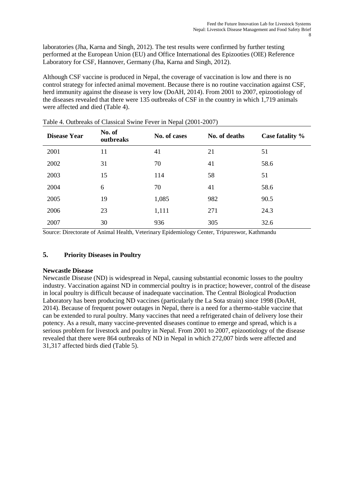laboratories (Jha, Karna and Singh, 2012). The test results were confirmed by further testing performed at the European Union (EU) and Office International des Epizooties (OIE) Reference Laboratory for CSF, Hannover, Germany (Jha, Karna and Singh, 2012).

Although CSF vaccine is produced in Nepal, the coverage of vaccination is low and there is no control strategy for infected animal movement. Because there is no routine vaccination against CSF, herd immunity against the disease is very low (DoAH, 2014). From 2001 to 2007, epizootiology of the diseases revealed that there were 135 outbreaks of CSF in the country in which 1,719 animals were affected and died (Table 4).

| <b>Disease Year</b> | No. of<br>outbreaks | No. of cases | No. of deaths | Case fatality % |
|---------------------|---------------------|--------------|---------------|-----------------|
| 2001                | 11                  | 41           | 21            | 51              |
| 2002                | 31                  | 70           | 41            | 58.6            |
| 2003                | 15                  | 114          | 58            | 51              |
| 2004                | 6                   | 70           | 41            | 58.6            |
| 2005                | 19                  | 1,085        | 982           | 90.5            |
| 2006                | 23                  | 1,111        | 271           | 24.3            |
| 2007                | 30                  | 936          | 305           | 32.6            |

Table 4. Outbreaks of Classical Swine Fever in Nepal (2001-2007)

Source: Directorate of Animal Health, Veterinary Epidemiology Center, Tripureswor, Kathmandu

# **5. Priority Diseases in Poultry**

## **Newcastle Disease**

Newcastle Disease (ND) is widespread in Nepal, causing substantial economic losses to the poultry industry. Vaccination against ND in commercial poultry is in practice; however, control of the disease in local poultry is difficult because of inadequate vaccination. The Central Biological Production Laboratory has been producing ND vaccines (particularly the La Sota strain) since 1998 (DoAH, 2014). Because of frequent power outages in Nepal, there is a need for a thermo-stable vaccine that can be extended to rural poultry. Many vaccines that need a refrigerated chain of delivery lose their potency. As a result, many vaccine-prevented diseases continue to emerge and spread, which is a serious problem for livestock and poultry in Nepal. From 2001 to 2007, epizootiology of the disease revealed that there were 864 outbreaks of ND in Nepal in which 272,007 birds were affected and 31,317 affected birds died (Table 5).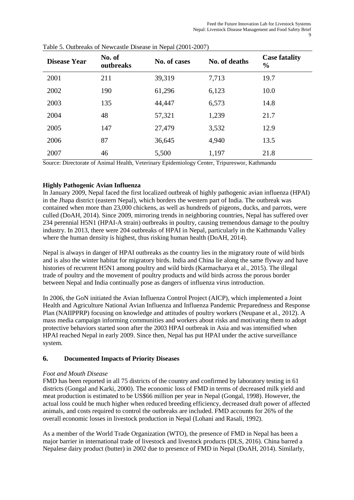| <b>Disease Year</b> | No. of<br>outbreaks | No. of cases | No. of deaths | <b>Case fatality</b><br>$\frac{0}{0}$ |
|---------------------|---------------------|--------------|---------------|---------------------------------------|
| 2001                | 211                 | 39,319       | 7,713         | 19.7                                  |
| 2002                | 190                 | 61,296       | 6,123         | 10.0                                  |
| 2003                | 135                 | 44,447       | 6,573         | 14.8                                  |
| 2004                | 48                  | 57,321       | 1,239         | 21.7                                  |
| 2005                | 147                 | 27,479       | 3,532         | 12.9                                  |
| 2006                | 87                  | 36,645       | 4,940         | 13.5                                  |
| 2007                | 46                  | 5,500        | 1,197         | 21.8                                  |



Source: Directorate of Animal Health, Veterinary Epidemiology Center, Tripureswor, Kathmandu

# **Highly Pathogenic Avian Influenza**

In January 2009, Nepal faced the first localized outbreak of highly pathogenic avian influenza (HPAI) in the Jhapa district (eastern Nepal), which borders the western part of India. The outbreak was contained when more than 23,000 chickens, as well as hundreds of pigeons, ducks, and parrots, were culled (DoAH, 2014). Since 2009, mirroring trends in neighboring countries, Nepal has suffered over 234 perennial H5N1 (HPAI-A strain) outbreaks in poultry, causing tremendous damage to the poultry industry. In 2013, there were 204 outbreaks of HPAI in Nepal, particularly in the Kathmandu Valley where the human density is highest, thus risking human health (DoAH, 2014).

Nepal is always in danger of HPAI outbreaks as the country lies in the migratory route of wild birds and is also the winter habitat for migratory birds. India and China lie along the same flyway and have histories of recurrent H5N1 among poultry and wild birds (Karmacharya et al., 2015). The illegal trade of poultry and the movement of poultry products and wild birds across the porous border between Nepal and India continually pose as dangers of influenza virus introduction.

In 2006, the GoN initiated the Avian Influenza Control Project (AICP), which implemented a Joint Health and Agriculture National Avian Influenza and Influenza Pandemic Preparedness and Response Plan (NAIIPPRP) focusing on knowledge and attitudes of poultry workers (Neupane et al., 2012). A mass media campaign informing communities and workers about risks and motivating them to adopt protective behaviors started soon after the 2003 HPAI outbreak in Asia and was intensified when HPAI reached Nepal in early 2009. Since then, Nepal has put HPAI under the active surveillance system.

## **6. Documented Impacts of Priority Diseases**

## *Foot and Mouth Disease*

FMD has been reported in all 75 districts of the country and confirmed by laboratory testing in 61 districts (Gongal and Karki, 2000). The economic loss of FMD in terms of decreased milk yield and meat production is estimated to be US\$66 million per year in Nepal (Gongal, 1998). However, the actual loss could be much higher when reduced breeding efficiency, decreased draft power of affected animals, and costs required to control the outbreaks are included. FMD accounts for 26% of the overall economic losses in livestock production in Nepal (Lohani and Rasali, 1992).

As a member of the World Trade Organization (WTO), the presence of FMD in Nepal has been a major barrier in international trade of livestock and livestock products (DLS, 2016). China barred a Nepalese dairy product (butter) in 2002 due to presence of FMD in Nepal (DoAH, 2014). Similarly,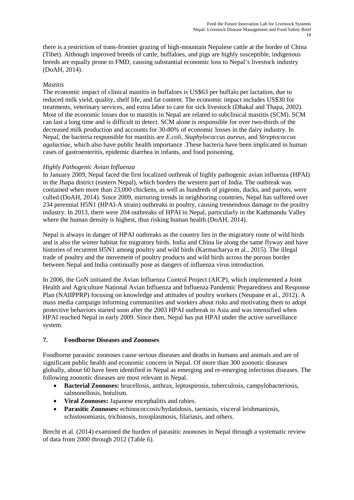there is a restriction of trans-frontier grazing of high-mountain Nepalese cattle at the border of China (Tibet). Although improved breeds of cattle, buffaloes, and pigs are highly susceptible, indigenous breeds are equally prone to FMD, causing substantial economic loss to Nepal's livestock industry (DoAH, 2014).

## *Mastitis*

The economic impact of clinical mastitis in buffaloes is US\$63 per buffalo per lactation, due to reduced milk yield, quality, shelf life, and fat content. The economic impact includes US\$30 for treatments, veterinary services, and extra labor to care for sick livestock (Dhakal and Thapa, 2002). Most of the economic losses due to mastitis in Nepal are related to subclinical mastitis (SCM). SCM can last a long time and is difficult to detect. SCM alone is responsible for over two-thirds of the decreased milk production and accounts for 30-80% of economic losses in the dairy industry. In Nepal, the bacteria responsible for mastitis are *E.coli*, *Staphylococcus aureus*, and *Streptococcus agalactiae*, which also have public health importance .These bacteria have been implicated in human cases of gastroenteritis, epidemic diarrhea in infants, and food poisoning.

# *Highly Pathogenic Avian Influenza*

In January 2009, Nepal faced the first localized outbreak of highly pathogenic avian influenza (HPAI) in the Jhapa district (eastern Nepal), which borders the western part of India. The outbreak was contained when more than 23,000 chickens, as well as hundreds of pigeons, ducks, and parrots, were culled (DoAH, 2014). Since 2009, mirroring trends in neighboring countries, Nepal has suffered over 234 perennial H5N1 (HPAI-A strain) outbreaks in poultry, causing tremendous damage to the poultry industry. In 2013, there were 204 outbreaks of HPAI in Nepal, particularly in the Kathmandu Valley where the human density is highest, thus risking human health (DoAH, 2014).

Nepal is always in danger of HPAI outbreaks as the country lies in the migratory route of wild birds and is also the winter habitat for migratory birds. India and China lie along the same flyway and have histories of recurrent H5N1 among poultry and wild birds (Karmacharya et al., 2015). The illegal trade of poultry and the movement of poultry products and wild birds across the porous border between Nepal and India continually pose as dangers of influenza virus introduction.

In 2006, the GoN initiated the Avian Influenza Control Project (AICP), which implemented a Joint Health and Agriculture National Avian Influenza and Influenza Pandemic Preparedness and Response Plan (NAIIPPRP) focusing on knowledge and attitudes of poultry workers (Neupane et al., 2012). A mass media campaign informing communities and workers about risks and motivating them to adopt protective behaviors started soon after the 2003 HPAI outbreak in Asia and was intensified when HPAI reached Nepal in early 2009. Since then, Nepal has put HPAI under the active surveillance system.

## **7. Foodborne Diseases and Zoonoses**

Foodborne parasitic zoonoses cause serious diseases and deaths in humans and animals and are of significant public health and economic concern in Nepal. Of more than 300 zoonotic diseases globally, about 60 have been identified in Nepal as emerging and re‐emerging infectious diseases. The following zoonotic diseases are most relevant in Nepal.

- **Bacterial Zoonoses:** brucellosis, anthrax, leptospirosis, tuberculosis, campylobacteriosis, salmonellosis, botulism.
- **Viral Zoonoses:** Japanese encephalitis and rabies.
- **Parasitic Zoonoses:** echinococcosis/hydatidosis, taeniasis, visceral leishmaniosis, schistosomiasis, trichinosis, toxoplasmosis, filariasis, and others.

Brecht et al. (2014) examined the burden of parasitic zoonoses in Nepal through a systematic review of data from 2000 through 2012 (Table 6).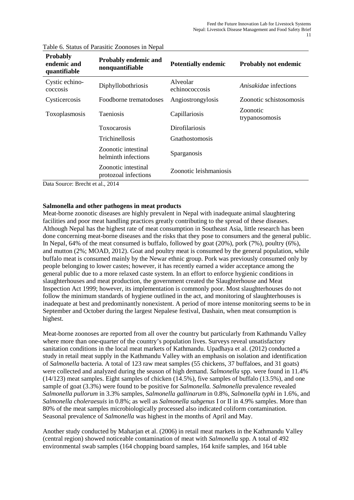| <b>Probably</b><br>endemic and<br>quantifiable | <b>Probably endemic and</b><br>nonquantifiable   | <b>Potentially endemic</b>   | <b>Probably not endemic</b> |
|------------------------------------------------|--------------------------------------------------|------------------------------|-----------------------------|
| Cystic echino-<br>coccosis                     | Diphyllobothriosis                               | Alveolar<br>echinococcosis   | Anisakidae infections       |
| Cysticercosis                                  | Foodborne trematodoses                           | Angiostrongylosis            | Zoonotic schistosomosis     |
| Toxoplasmosis                                  | <b>Taeniosis</b>                                 | Capillariosis                | Zoonotic<br>trypanosomosis  |
|                                                | Toxocarosis                                      | Dirofilariosis               |                             |
|                                                | Trichinellosis                                   | <i><b>Gnathostomosis</b></i> |                             |
|                                                | Zoonotic intestinal<br>helminth infections       | Sparganosis                  |                             |
| $\sim$<br>$\sim$                               | Zoonotic intestinal<br>protozoal infections<br>. | Zoonotic leishmaniosis       |                             |

#### Table 6. Status of Parasitic Zoonoses in Nepal

Data Source: Brecht et al., 2014

## **Salmonella and other pathogens in meat products**

Meat-borne zoonotic diseases are highly prevalent in Nepal with inadequate animal slaughtering facilities and poor meat handling practices greatly contributing to the spread of these diseases. Although Nepal has the highest rate of meat consumption in Southeast Asia, little research has been done concerning meat-borne diseases and the risks that they pose to consumers and the general public. In Nepal, 64% of the meat consumed is buffalo, followed by goat (20%), pork (7%), poultry (6%), and mutton (2%; MOAD, 2012). Goat and poultry meat is consumed by the general population, while buffalo meat is consumed mainly by the Newar ethnic group. Pork was previously consumed only by people belonging to lower castes; however, it has recently earned a wider acceptance among the general public due to a more relaxed caste system. In an effort to enforce hygienic conditions in slaughterhouses and meat production, the government created the Slaughterhouse and Meat Inspection Act 1999; however, its implementation is commonly poor. Most slaughterhouses do not follow the minimum standards of hygiene outlined in the act, and monitoring of slaughterhouses is inadequate at best and predominantly nonexistent. A period of more intense monitoring seems to be in September and October during the largest Nepalese festival, Dashain, when meat consumption is highest.

Meat-borne zoonoses are reported from all over the country but particularly from Kathmandu Valley where more than one-quarter of the country's population lives. Surveys reveal unsatisfactory sanitation conditions in the local meat markets of Kathmandu. Upadhaya et al. (2012) conducted a study in retail meat supply in the Kathmandu Valley with an emphasis on isolation and identification of *Salmonella* bacteria. A total of 123 raw meat samples (55 chickens, 37 buffaloes, and 31 goats) were collected and analyzed during the season of high demand. *Salmonella* spp. were found in 11.4% (14/123) meat samples. Eight samples of chicken (14.5%), five samples of buffalo (13.5%), and one sample of goat (3.3%) were found to be positive for *Salmonella. Salmonella* prevalence revealed *Salmonella pullorum* in 3.3% samples, *Salmonella gallinarum* in 0.8%, *Salmonella typhi* in 1.6%, and *Salmonella choleraesuis* in 0.8%; as well as *Salmonella subgenus* I or II in 4.9% samples. More than 80% of the meat samples microbiologically processed also indicated coliform contamination. Seasonal prevalence of *Salmonella* was highest in the months of April and May.

Another study conducted by Maharjan et al. (2006) in retail meat markets in the Kathmandu Valley (central region) showed noticeable contamination of meat with *Salmonella* spp. A total of 492 environmental swab samples (164 chopping board samples, 164 knife samples, and 164 table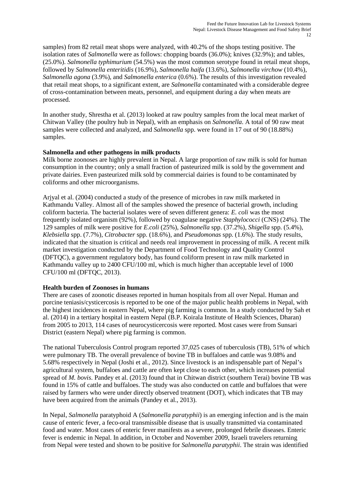samples) from 82 retail meat shops were analyzed, with 40.2% of the shops testing positive. The isolation rates of *Salmonella* were as follows: chopping boards (36.0%); knives (32.9%); and tables, (25.0%). *Salmonella typhimurium* (54.5%) was the most common serotype found in retail meat shops, followed by *Salmonella enteritidis* (16.9%), *Salmonella haifa* (13.6%), *Salmonella virchow* (10.4%), *Salmonella agona* (3.9%), and *Salmonella enterica* (0.6%). The results of this investigation revealed that retail meat shops, to a significant extent, are *Salmonella* contaminated with a considerable degree of cross-contamination between meats, personnel, and equipment during a day when meats are processed.

In another study, Shrestha et al. (2013) looked at raw poultry samples from the local meat market of Chitwan Valley (the poultry hub in Nepal), with an emphasis on *Salmonella*. A total of 90 raw meat samples were collected and analyzed, and *Salmonella* spp. were found in 17 out of 90 (18.88%) samples.

#### **Salmonella and other pathogens in milk products**

Milk borne zoonoses are highly prevalent in Nepal. A large proportion of raw milk is sold for human consumption in the country; only a small fraction of pasteurized milk is sold by the government and private dairies. Even pasteurized milk sold by commercial dairies is found to be contaminated by coliforms and other microorganisms.

Arjyal et al. (2004) conducted a study of the presence of microbes in raw milk marketed in Kathmandu Valley. Almost all of the samples showed the presence of bacterial growth, including coliform bacteria. The bacterial isolates were of seven different genera: *E. coli* was the most frequently isolated organism (92%), followed by coagulase negative *Staphylococci* (CNS) (24%). The 129 samples of milk were positive for *E.coli* (25%), *Salmonella* spp. (37.2%), *Shigella* spp. (5.4%), *Klebsiella* spp. (7.7%), *Citrobacter* spp. (18.6%), and *Pseudomonas* spp. (1.6%). The study results, indicated that the situation is critical and needs real improvement in processing of milk. A recent milk market investigation conducted by the Department of Food Technology and Quality Control (DFTQC), a government regulatory body, has found coliform present in raw milk marketed in Kathmandu valley up to 2400 CFU/100 ml, which is much higher than acceptable level of 1000 CFU/100 ml (DFTQC, 2013).

#### **Health burden of Zoonoses in humans**

There are cases of zoonotic diseases reported in human hospitals from all over Nepal. Human and porcine teniasis/cysticercosis is reported to be one of the major public health problems in Nepal, with the highest incidences in eastern Nepal, where pig farming is common. In a study conducted by Sah et al. (2014) in a tertiary hospital in eastern Nepal (B.P. Koirala Institute of Health Sciences, Dharan) from 2005 to 2013, 114 cases of neurocysticercosis were reported. Most cases were from Sunsari District (eastern Nepal) where pig farming is common.

The national Tuberculosis Control program reported 37,025 cases of tuberculosis (TB), 51% of which were pulmonary TB. The overall prevalence of bovine TB in buffaloes and cattle was 9.08% and 5.68% respectively in Nepal (Joshi et al., 2012). Since livestock is an indispensable part of Nepal's agricultural system, buffaloes and cattle are often kept close to each other, which increases potential spread of *M. bovis*. Pandey et al. (2013) found that in Chitwan district (southern Terai) bovine TB was found in 15% of cattle and buffaloes. The study was also conducted on cattle and buffaloes that were raised by farmers who were under directly observed treatment (DOT), which indicates that TB may have been acquired from the animals (Pandey et al., 2013).

In Nepal, *Salmonella* paratyphoid A (*Salmonella paratyphii*) is an emerging infection and is the main cause of enteric fever, a feco-oral transmissible disease that is usually transmitted via contaminated food and water. Most cases of enteric fever manifests as a severe, prolonged febrile diseases. Enteric fever is endemic in Nepal. In addition, in October and November 2009, Israeli travelers returning from Nepal were tested and shown to be positive for *Salmonella paratyphii*. The strain was identified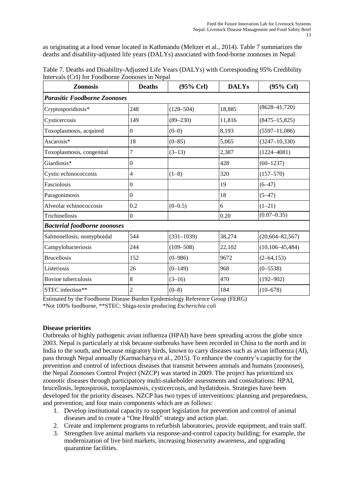as originating at a food venue located in Kathmandu (Meltzer et al., 2014). Table 7 summarizes the deaths and disability-adjusted life years (DALYs) associated with food-borne zoonoses in Nepal.

| Table 7. Deaths and Disability-Adjusted Life Years (DALYs) with Corresponding 95% Credibility       |  |  |  |  |  |  |  |
|-----------------------------------------------------------------------------------------------------|--|--|--|--|--|--|--|
| Intervals (CrI) for Foodborne Zoonoses in Nepal                                                     |  |  |  |  |  |  |  |
| <b>DALYs</b><br>$(95\% \,\mathrm{Crl})$<br>$(95\% \text{ Crl})$<br><b>Deaths</b><br><b>Zoonosis</b> |  |  |  |  |  |  |  |
| <b>Parasitic Foodborne Zoonoses</b>                                                                 |  |  |  |  |  |  |  |

| 1 anusult 1 boubonne Loonoses       |                |               |        |                       |
|-------------------------------------|----------------|---------------|--------|-----------------------|
| Cryptosporidiosis*                  | 248            | $(128 - 504)$ | 18,885 | $(8628 - 41,720)$     |
| Cysticercosis                       | 149            | $(89 - 230)$  | 11,816 | $(8475 - 15, 825)$    |
| Toxoplasmosis, acquired             | $\mathbf{0}$   | $(0-0)$       | 8,193  | $(5597 - 11,086)$     |
| Ascarosis*                          | 18             | $(0 - 85)$    | 5,065  | $(3247 - 10, 330)$    |
| Toxoplasmosis, congenital           | 7              | $(3-13)$      | 2,387  | $(1224 - 4081)$       |
| Giardiosis*                         | $\mathbf{0}$   |               | 428    | $(60-1237)$           |
| Cystic echinococcosis               | 4              | $(1-8)$       | 320    | $(157 - 570)$         |
| Fasciolosis                         | $\mathbf{0}$   |               | 19     | $(6 - 47)$            |
| Paragonimosis                       | $\Omega$       |               | 18     | $(5-47)$              |
| Alveolar echinococcosis             | 0.2            | $(0-0.5)$     | 6      | $(1-21)$              |
| Trichinellosis                      | $\Omega$       |               | 0.20   | $(0.07 - 0.35)$       |
| <b>Bacterial foodborne zoonoses</b> |                |               |        |                       |
| Salmonellosis, nontyphoidal         | 544            | $(331-1039)$  | 38,274 | $(20, 604 - 82, 567)$ |
| Campylobacteriosis                  | 244            | $(109 - 508)$ | 22,102 | $(10, 106 - 45, 484)$ |
| <b>Brucellosis</b>                  | 152            | $(0 - 986)$   | 9672   | $(2 - 64, 153)$       |
| Listeriosis                         | 26             | $(0-149)$     | 968    | $(0 - 5538)$          |
| Bovine tuberculosis                 | 8              | $(3-16)$      | 470    | $(192 - 902)$         |
| STEC infection**                    | $\overline{c}$ | $(0-8)$       | 184    | $(10-678)$            |

Intervals (CrI) for Foodborne Zoonoses in Nepal

Estimated by the Foodborne Disease Burden Epidemiology Reference Group (FERG) \*Not 100% foodborne, \*\*STEC: Shiga-toxin producing *Escherichia coli*

## **Disease priorities**

Outbreaks of highly pathogenic avian influenza (HPAI) have been spreading across the globe since 2003. Nepal is particularly at risk because outbreaks have been recorded in China to the north and in India to the south, and because migratory birds, known to carry diseases such as avian influenza (AI), pass through Nepal annually (Karmacharya et al., 2015). To enhance the country's capacity for the prevention and control of infectious diseases that transmit between animals and humans (zoonoses), the Nepal Zoonoses Control Project (NZCP) was started in 2009. The project has prioritized six zoonotic diseases through participatory multi-stakeholder assessments and consultations: HPAI, brucellosis, leptospirosis, toxoplasmosis, cysticercosis, and hydatidosis. Strategies have been developed for the priority diseases. NZCP has two types of interventions: planning and preparedness, and prevention; and four main components which are as follows:

- 1. Develop institutional capacity to support legislation for prevention and control of animal diseases and to create a "One Health" strategy and action plan.
- 2. Create and implement programs to refurbish laboratories, provide equipment, and train staff.
- 3. Strengthen live animal markets via response-and-control capacity building; for example, the modernization of live bird markets, increasing biosecurity awareness, and upgrading quarantine facilities.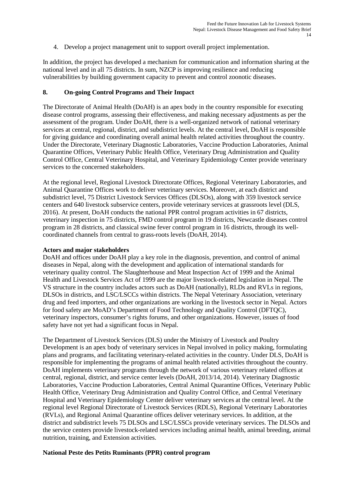4. Develop a project management unit to support overall project implementation.

In addition, the project has developed a mechanism for communication and information sharing at the national level and in all 75 districts. In sum, NZCP is improving resilience and reducing vulnerabilities by building government capacity to prevent and control zoonotic diseases.

#### **8. On-going Control Programs and Their Impact**

The Directorate of Animal Health (DoAH) is an apex body in the country responsible for executing disease control programs, assessing their effectiveness, and making necessary adjustments as per the assessment of the program. Under DoAH, there is a well-organized network of national veterinary services at central, regional, district, and subdistrict levels. At the central level, DoAH is responsible for giving guidance and coordinating overall animal health related activities throughout the country. Under the Directorate, Veterinary Diagnostic Laboratories, Vaccine Production Laboratories, Animal Quarantine Offices, Veterinary Public Health Office, Veterinary Drug Administration and Quality Control Office, Central Veterinary Hospital, and Veterinary Epidemiology Center provide veterinary services to the concerned stakeholders.

At the regional level, Regional Livestock Directorate Offices, Regional Veterinary Laboratories, and Animal Quarantine Offices work to deliver veterinary services. Moreover, at each district and subdistrict level, 75 District Livestock Services Offices (DLSOs), along with 359 livestock service centers and 640 livestock subservice centers, provide veterinary services at grassroots level (DLS, 2016). At present, DoAH conducts the national PPR control program activities in 67 districts, veterinary inspection in 75 districts, FMD control program in 19 districts, Newcastle diseases control program in 28 districts, and classical swine fever control program in 16 districts, through its wellcoordinated channels from central to grass-roots levels (DoAH, 2014).

#### **Actors and major stakeholders**

DoAH and offices under DoAH play a key role in the diagnosis, prevention, and control of animal diseases in Nepal, along with the development and application of international standards for veterinary quality control. The Slaughterhouse and Meat Inspection Act of 1999 and the Animal Health and Livestock Services Act of 1999 are the major livestock-related legislation in Nepal. The VS structure in the country includes actors such as DoAH (nationally), RLDs and RVLs in regions, DLSOs in districts, and LSC/LSCCs within districts. The Nepal Veterinary Association, veterinary drug and feed importers, and other organizations are working in the livestock sector in Nepal. Actors for food safety are MoAD's Department of Food Technology and Quality Control (DFTQC), veterinary inspectors, consumer's rights forums, and other organizations. However, issues of food safety have not yet had a significant focus in Nepal.

The Department of Livestock Services (DLS) under the Ministry of Livestock and Poultry Development is an apex body of veterinary services in Nepal involved in policy making, formulating plans and programs, and facilitating veterinary-related activities in the country. Under DLS, DoAH is responsible for implementing the programs of animal health related activities throughout the country. DoAH implements veterinary programs through the network of various veterinary related offices at central, regional, district, and service center levels (DoAH, 2013/14, 2014). Veterinary Diagnostic Laboratories, Vaccine Production Laboratories, Central Animal Quarantine Offices, Veterinary Public Health Office, Veterinary Drug Administration and Quality Control Office, and Central Veterinary Hospital and Veterinary Epidemiology Center deliver veterinary services at the central level. At the regional level Regional Directorate of Livestock Services (RDLS), Regional Veterinary Laboratories (RVLs), and Regional Animal Quarantine offices deliver veterinary services. In addition, at the district and subdistrict levels 75 DLSOs and LSC/LSSCs provide veterinary services. The DLSOs and the service centers provide livestock-related services including animal health, animal breeding, animal nutrition, training, and Extension activities.

#### **National Peste des Petits Ruminants (PPR) control program**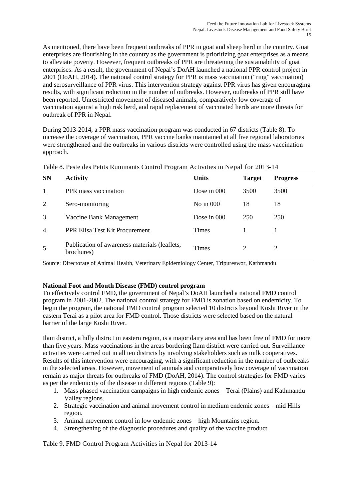As mentioned, there have been frequent outbreaks of PPR in goat and sheep herd in the country. Goat enterprises are flourishing in the country as the government is prioritizing goat enterprises as a means to alleviate poverty. However, frequent outbreaks of PPR are threatening the sustainability of goat enterprises. As a result, the government of Nepal's DoAH launched a national PPR control project in 2001 (DoAH, 2014). The national control strategy for PPR is mass vaccination ("ring" vaccination) and serosurveillance of PPR virus. This intervention strategy against PPR virus has given encouraging results, with significant reduction in the number of outbreaks. However, outbreaks of PPR still have been reported. Unrestricted movement of diseased animals, comparatively low coverage of vaccination against a high risk herd, and rapid replacement of vaccinated herds are more threats for outbreak of PPR in Nepal.

During 2013-2014, a PPR mass vaccination program was conducted in 67 districts (Table 8). To increase the coverage of vaccination, PPR vaccine banks maintained at all five regional laboratories were strengthened and the outbreaks in various districts were controlled using the mass vaccination approach.

| <b>SN</b>      | <b>Activity</b>                                             | <b>Units</b>  | <b>Target</b> | <b>Progress</b> |  |  |
|----------------|-------------------------------------------------------------|---------------|---------------|-----------------|--|--|
|                | PPR mass vaccination                                        | Dose in 000   | 3500          | 3500            |  |  |
| 2              | Sero-monitoring                                             | No in $000$   | 18            | 18              |  |  |
| 3              | Vaccine Bank Management                                     | Dose in $000$ | 250           | 250             |  |  |
| $\overline{4}$ | PPR Elisa Test Kit Procurement                              | <b>Times</b>  |               |                 |  |  |
| 5              | Publication of awareness materials (leaflets,<br>brochures) | Times         | 2             | 2               |  |  |

Table 8. Peste des Petits Ruminants Control Program Activities in Nepal for 2013-14

Source: Directorate of Animal Health, Veterinary Epidemiology Center, Tripureswor, Kathmandu

## **National Foot and Mouth Disease (FMD) control program**

To effectively control FMD, the government of Nepal's DoAH launched a national FMD control program in 2001-2002. The national control strategy for FMD is zonation based on endemicity. To begin the program, the national FMD control program selected 10 districts beyond Koshi River in the eastern Terai as a pilot area for FMD control. Those districts were selected based on the natural barrier of the large Koshi River.

Ilam district, a hilly district in eastern region, is a major dairy area and has been free of FMD for more than five years. Mass vaccinations in the areas bordering Ilam district were carried out. Surveillance activities were carried out in all ten districts by involving stakeholders such as milk cooperatives. Results of this intervention were encouraging, with a significant reduction in the number of outbreaks in the selected areas. However, movement of animals and comparatively low coverage of vaccination remain as major threats for outbreaks of FMD (DoAH, 2014). The control strategies for FMD varies as per the endemicity of the disease in different regions (Table 9):

- 1. Mass phased vaccination campaigns in high endemic zones Terai (Plains) and Kathmandu Valley regions.
- 2. Strategic vaccination and animal movement control in medium endemic zones mid Hills region.
- 3. Animal movement control in low endemic zones high Mountains region.
- 4. Strengthening of the diagnostic procedures and quality of the vaccine product.

Table 9. FMD Control Program Activities in Nepal for 2013-14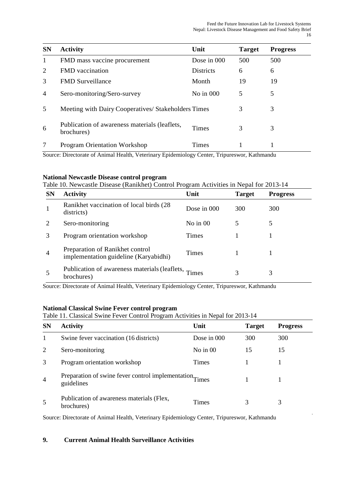| <b>SN</b>      | <b>Activity</b>                                             | Unit             | <b>Target</b> | <b>Progress</b> |
|----------------|-------------------------------------------------------------|------------------|---------------|-----------------|
| $\mathbf{1}$   | FMD mass vaccine procurement                                | Dose in 000      | 500           | 500             |
| 2              | <b>FMD</b> vaccination                                      | <b>Districts</b> | 6             | 6               |
| 3              | <b>FMD</b> Surveillance                                     | Month            | 19            | 19              |
| $\overline{4}$ | Sero-monitoring/Sero-survey                                 | No in $000$      | 5             | 5               |
| 5              | Meeting with Dairy Cooperatives/ Stakeholders Times         |                  | 3             | 3               |
| 6              | Publication of awareness materials (leaflets,<br>brochures) | <b>Times</b>     | 3             | 3               |
| 7              | <b>Program Orientation Workshop</b>                         | <b>Times</b>     |               |                 |

Source: Directorate of Animal Health, Veterinary Epidemiology Center, Tripureswor, Kathmandu

## **National Newcastle Disease control program**

## Table 10. Newcastle Disease (Ranikhet) Control Program Activities in Nepal for 2013-14

| <b>SN</b>      | <b>Activity</b>                                                          | Unit         | <b>Target</b> | <b>Progress</b> |
|----------------|--------------------------------------------------------------------------|--------------|---------------|-----------------|
|                | Ranikhet vaccination of local birds (28)<br>districts)                   | Dose in 000  | 300           | 300             |
|                | Sero-monitoring                                                          | No in $00$   |               | 5               |
| 3              | Program orientation workshop                                             | Times        |               |                 |
| $\overline{4}$ | Preparation of Ranikhet control<br>implementation guideline (Karyabidhi) | <b>Times</b> |               |                 |
|                | Publication of awareness materials (leaflets, Times<br>brochures)        |              |               | 3               |

Source: Directorate of Animal Health, Veterinary Epidemiology Center, Tripureswor, Kathmandu

## **National Classical Swine Fever control program**

# Table 11. Classical Swine Fever Control Program Activities in Nepal for 2013-14

| <b>SN</b>      | <b>Activity</b>                                                       | Unit        | <b>Target</b> | <b>Progress</b> |
|----------------|-----------------------------------------------------------------------|-------------|---------------|-----------------|
| 1              | Swine fever vaccination (16 districts)                                | Dose in 000 | 300           | 300             |
| 2              | Sero-monitoring                                                       | No in $00$  | 15            | 15              |
| 3              | Program orientation workshop                                          | Times       |               |                 |
| $\overline{4}$ | Preparation of swine fever control implementation Times<br>guidelines |             |               |                 |
| 5              | Publication of awareness materials (Flex,<br>brochures)               | Times       | 3             | 3               |

Source: Directorate of Animal Health, Veterinary Epidemiology Center, Tripureswor, Kathmandu

## **9. Current Animal Health Surveillance Activities**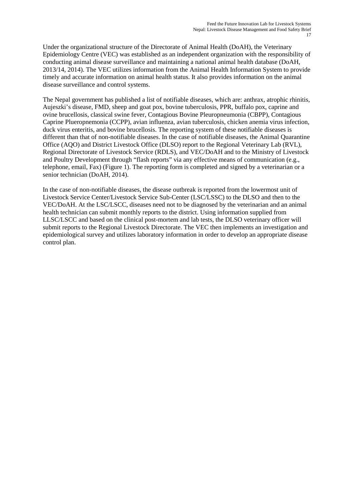Under the organizational structure of the Directorate of Animal Health (DoAH), the Veterinary Epidemiology Centre (VEC) was established as an independent organization with the responsibility of conducting animal disease surveillance and maintaining a national animal health database (DoAH, 2013/14, 2014). The VEC utilizes information from the Animal Health Information System to provide timely and accurate information on animal health status. It also provides information on the animal disease surveillance and control systems.

The Nepal government has published a list of notifiable diseases, which are: anthrax, atrophic rhinitis, Aujeszki's disease, FMD, sheep and goat pox, bovine tuberculosis, PPR, buffalo pox, caprine and ovine brucellosis, classical swine fever, Contagious Bovine Pleuropneumonia (CBPP), Contagious Caprine Plueropnemonia (CCPP), avian influenza, avian tuberculosis, chicken anemia virus infection, duck virus enteritis, and bovine brucellosis. The reporting system of these notifiable diseases is different than that of non-notifiable diseases. In the case of notifiable diseases, the Animal Quarantine Office (AQO) and District Livestock Office (DLSO) report to the Regional Veterinary Lab (RVL), Regional Directorate of Livestock Service (RDLS), and VEC/DoAH and to the Ministry of Livestock and Poultry Development through "flash reports" via any effective means of communication (e.g., telephone, email, Fax) (Figure 1). The reporting form is completed and signed by a veterinarian or a senior technician (DoAH, 2014).

In the case of non-notifiable diseases, the disease outbreak is reported from the lowermost unit of Livestock Service Center/Livestock Service Sub-Center (LSC/LSSC) to the DLSO and then to the VEC/DoAH. At the LSC/LSCC, diseases need not to be diagnosed by the veterinarian and an animal health technician can submit monthly reports to the district. Using information supplied from LLSC/LSCC and based on the clinical post-mortem and lab tests, the DLSO veterinary officer will submit reports to the Regional Livestock Directorate. The VEC then implements an investigation and epidemiological survey and utilizes laboratory information in order to develop an appropriate disease control plan.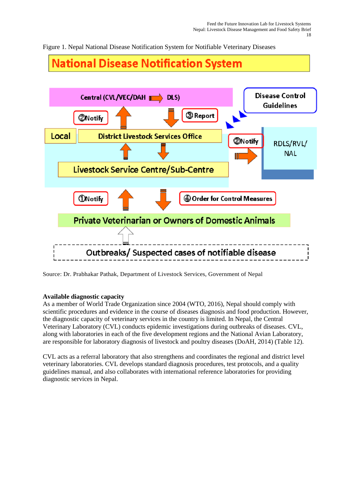Figure 1. Nepal National Disease Notification System for Notifiable Veterinary Diseases

# **National Disease Notification System**



Source: Dr. Prabhakar Pathak, Department of Livestock Services, Government of Nepal

## **Available diagnostic capacity**

As a member of World Trade Organization since 2004 (WTO, 2016), Nepal should comply with scientific procedures and evidence in the course of diseases diagnosis and food production. However, the diagnostic capacity of veterinary services in the country is limited. In Nepal, the Central Veterinary Laboratory (CVL) conducts epidemic investigations during outbreaks of diseases. CVL, along with laboratories in each of the five development regions and the National Avian Laboratory, are responsible for laboratory diagnosis of livestock and poultry diseases (DoAH, 2014) (Table 12).

CVL acts as a referral laboratory that also strengthens and coordinates the regional and district level veterinary laboratories. CVL develops standard diagnosis procedures, test protocols, and a quality guidelines manual, and also collaborates with international reference laboratories for providing diagnostic services in Nepal.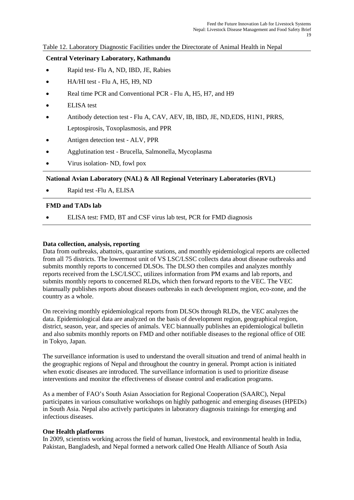#### Table 12. Laboratory Diagnostic Facilities under the Directorate of Animal Health in Nepal

#### **Central Veterinary Laboratory, Kathmandu**

- Rapid test- Flu A, ND, IBD, JE, Rabies
- HA/HI test Flu A, H5, H9, ND
- Real time PCR and Conventional PCR Flu A, H5, H7, and H9
- ELISA test
- Antibody detection test Flu A, CAV, AEV, IB, IBD, JE, ND,EDS, H1N1, PRRS, Leptospirosis, Toxoplasmosis, and PPR
- Antigen detection test ALV, PPR
- Agglutination test Brucella, Salmonella, Mycoplasma
- Virus isolation- ND, fowl pox

## **National Avian Laboratory (NAL) & All Regional Veterinary Laboratories (RVL)**

• Rapid test -Flu A, ELISA

#### **FMD and TADs lab**

• ELISA test: FMD, BT and CSF virus lab test, PCR for FMD diagnosis

#### **Data collection, analysis, reporting**

Data from outbreaks, abattoirs, quarantine stations, and monthly epidemiological reports are collected from all 75 districts. The lowermost unit of VS LSC/LSSC collects data about disease outbreaks and submits monthly reports to concerned DLSOs. The DLSO then compiles and analyzes monthly reports received from the LSC/LSCC, utilizes information from PM exams and lab reports, and submits monthly reports to concerned RLDs, which then forward reports to the VEC. The VEC biannually publishes reports about diseases outbreaks in each development region, eco-zone, and the country as a whole.

On receiving monthly epidemiological reports from DLSOs through RLDs, the VEC analyzes the data. Epidemiological data are analyzed on the basis of development region, geographical region, district, season, year, and species of animals. VEC biannually publishes an epidemiological bulletin and also submits monthly reports on FMD and other notifiable diseases to the regional office of OIE in Tokyo, Japan.

The surveillance information is used to understand the overall situation and trend of animal health in the geographic regions of Nepal and throughout the country in general. Prompt action is initiated when exotic diseases are introduced. The surveillance information is used to prioritize disease interventions and monitor the effectiveness of disease control and eradication programs.

As a member of FAO's South Asian Association for Regional Cooperation (SAARC), Nepal participates in various consultative workshops on highly pathogenic and emerging diseases (HPEDs) in South Asia. Nepal also actively participates in laboratory diagnosis trainings for emerging and infectious diseases.

#### **One Health platforms**

In 2009, scientists working across the field of human, livestock, and environmental health in India, Pakistan, Bangladesh, and Nepal formed a network called One Health Alliance of South Asia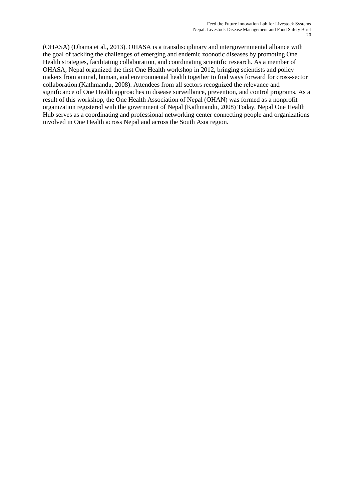(OHASA) (Dhama et al., 2013). OHASA is a transdisciplinary and intergovernmental alliance with the goal of tackling the challenges of emerging and endemic zoonotic diseases by promoting One Health strategies, facilitating collaboration, and coordinating scientific research. As a member of OHASA, Nepal organized the first One Health workshop in 2012, bringing scientists and policy makers from animal, human, and environmental health together to find ways forward for cross-sector collaboration.(Kathmandu, 2008). Attendees from all sectors recognized the relevance and significance of One Health approaches in disease surveillance, prevention, and control programs. As a result of this workshop, the One Health Association of Nepal (OHAN) was formed as a nonprofit organization registered with the government of Nepal (Kathmandu, 2008) Today, Nepal One Health Hub serves as a coordinating and professional networking center connecting people and organizations involved in One Health across Nepal and across the South Asia region.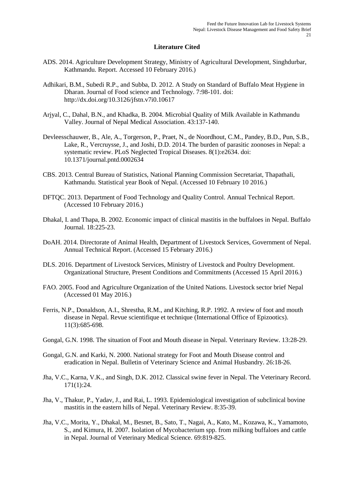#### **Literature Cited**

- ADS. 2014. Agriculture Development Strategy, Ministry of Agricultural Development, Singhdurbar, Kathmandu. Report. Accessed 10 February 2016.)
- Adhikari, B.M., Subedi R.P., and Subba, D. 2012. A Study on Standard of Buffalo Meat Hygiene in Dharan. Journal of Food science and Technology. 7:98-101. doi: http://dx.doi.org/10.3126/jfstn.v7i0.10617
- Arjyal, C., Dahal, B.N., and Khadka, B. 2004. Microbial Quality of Milk Available in Kathmandu Valley. Journal of Nepal Medical Association. 43:137-140.
- Devleesschauwer, B., Ale, A., Torgerson, P., Praet, N., de Noordhout, C.M., Pandey, B.D., Pun, S.B., Lake, R., Vercruysse, J., and Joshi, D.D. 2014. The burden of parasitic zoonoses in Nepal: a systematic review. PLoS Neglected Tropical Diseases. 8(1):e2634. doi: 10.1371/journal.pntd.0002634
- CBS. 2013. Central Bureau of Statistics, National Planning Commission Secretariat, Thapathali, Kathmandu*.* Statistical year Book of Nepal. (Accessed 10 February 10 2016.)
- DFTQC. 2013. Department of Food Technology and Quality Control. Annual Technical Report. (Accessed 10 February 2016.)
- Dhakal, I. and Thapa, B. 2002. Economic impact of clinical mastitis in the buffaloes in Nepal. Buffalo Journal*.* 18:225-23.
- DoAH. 2014. Directorate of Animal Health, Department of Livestock Services, Government of Nepal. Annual Technical Report. (Accessed 15 February 2016.)
- DLS. 2016. Department of Livestock Services, Ministry of Livestock and Poultry Development. Organizational Structure, Present Conditions and Commitments (Accessed 15 April 2016.)
- FAO. 2005. Food and Agriculture Organization of the United Nations. Livestock sector brief Nepal (Accessed 01 May 2016.)
- Ferris, N.P., Donaldson, A.I., Shrestha, R.M., and Kitching, R.P. 1992. A review of foot and mouth disease in Nepal. Revue scientifique et technique (International Office of Epizootics). 11(3):685-698.
- Gongal, G.N. 1998. The situation of Foot and Mouth disease in Nepal. Veterinary Review. 13:28-29.
- Gongal, G.N. and Karki, N. 2000. National strategy for Foot and Mouth Disease control and eradication in Nepal. Bulletin of Veterinary Science and Animal Husbandry. 26:18-26.
- Jha, V.C., Karna, V.K., and Singh, D.K. 2012. Classical swine fever in Nepal. The Veterinary Record. 171(1):24.
- Jha, V., Thakur, P., Yadav, J., and Rai, L. 1993. Epidemiological investigation of subclinical bovine mastitis in the eastern hills of Nepal. Veterinary Review. 8:35-39.
- Jha, V.C., Morita, Y., Dhakal, M., Besnet, B., Sato, T., Nagai, A., Kato, M., Kozawa, K., Yamamoto, S., and Kimura, H. 2007. Isolation of Mycobacterium spp. from milking buffaloes and cattle in Nepal. Journal of Veterinary Medical Science. 69:819-825.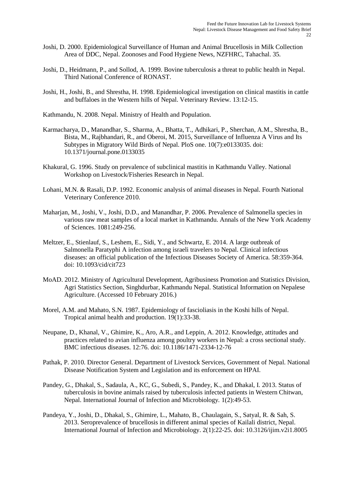- Joshi, D. 2000. Epidemiological Surveillance of Human and Animal Brucellosis in Milk Collection Area of DDC, Nepal. Zoonoses and Food Hygiene News, NZFHRC, Tahachal. 35*.*
- Joshi, D., Heidmann, P., and Sollod, A. 1999. Bovine tuberculosis a threat to public health in Nepal. Third National Conference of RONAST.
- Joshi, H., Joshi, B., and Shrestha, H. 1998. Epidemiological investigation on clinical mastitis in cattle and buffaloes in the Western hills of Nepal. Veterinary Review*.* 13:12-15.

Kathmandu, N. 2008. Nepal. Ministry of Health and Population.

- Karmacharya, D., Manandhar, S., Sharma, A., Bhatta, T., Adhikari, P., Sherchan, A.M., Shrestha, B., Bista, M., Rajbhandari, R., and Oberoi, M. 2015, Surveillance of Influenza A Virus and Its Subtypes in Migratory Wild Birds of Nepal. PloS one. 10(7):e0133035. doi: 10.1371/journal.pone.0133035
- Khakural, G. 1996. Study on prevalence of subclinical mastitis in Kathmandu Valley. National Workshop on Livestock/Fisheries Research in Nepal.
- Lohani, M.N. & Rasali, D.P. 1992. Economic analysis of animal diseases in Nepal. Fourth National Veterinary Conference 2010.
- Maharjan, M., Joshi, V., Joshi, D.D., and Manandhar, P. 2006. Prevalence of Salmonella species in various raw meat samples of a local market in Kathmandu. Annals of the New York Academy of Sciences*.* 1081:249-256.
- Meltzer, E., Stienlauf, S., Leshem, E., Sidi, Y., and Schwartz, E. 2014. A large outbreak of Salmonella Paratyphi A infection among israeli travelers to Nepal. Clinical infectious diseases: an official publication of the Infectious Diseases Society of America*.* 58:359-364. doi: 10.1093/cid/cit723
- MoAD. 2012. Ministry of Agricultural Development, Agribusiness Promotion and Statistics Division, Agri Statistics Section, Singhdurbar, Kathmandu Nepal. Statistical Information on Nepalese Agriculture. (Accessed 10 February 2016.)
- Morel, A.M. and Mahato, S.N. 1987. Epidemiology of fascioliasis in the Koshi hills of Nepal. Tropical animal health and production. 19(1):33-38.
- Neupane, D., Khanal, V., Ghimire, K., Aro, A.R., and Leppin, A. 2012. Knowledge, attitudes and practices related to avian influenza among poultry workers in Nepal: a cross sectional study. BMC infectious diseases. 12:76. doi: 10.1186/1471-2334-12-76
- Pathak, P. 2010. Director General. Department of Livestock Services, Government of Nepal. National Disease Notification System and Legislation and its enforcement on HPAI.
- Pandey, G., Dhakal, S., Sadaula, A., KC, G., Subedi, S., Pandey, K., and Dhakal, I. 2013. Status of tuberculosis in bovine animals raised by tuberculosis infected patients in Western Chitwan, Nepal. International Journal of Infection and Microbiology*.* 1(2):49-53.
- Pandeya, Y., Joshi, D., Dhakal, S., Ghimire, L., Mahato, B., Chaulagain, S., Satyal, R. & Sah, S. 2013. Seroprevalence of brucellosis in different animal species of Kailali district, Nepal. International Journal of Infection and Microbiology. 2(1):22-25. doi: 10.3126/ijim.v2i1.8005